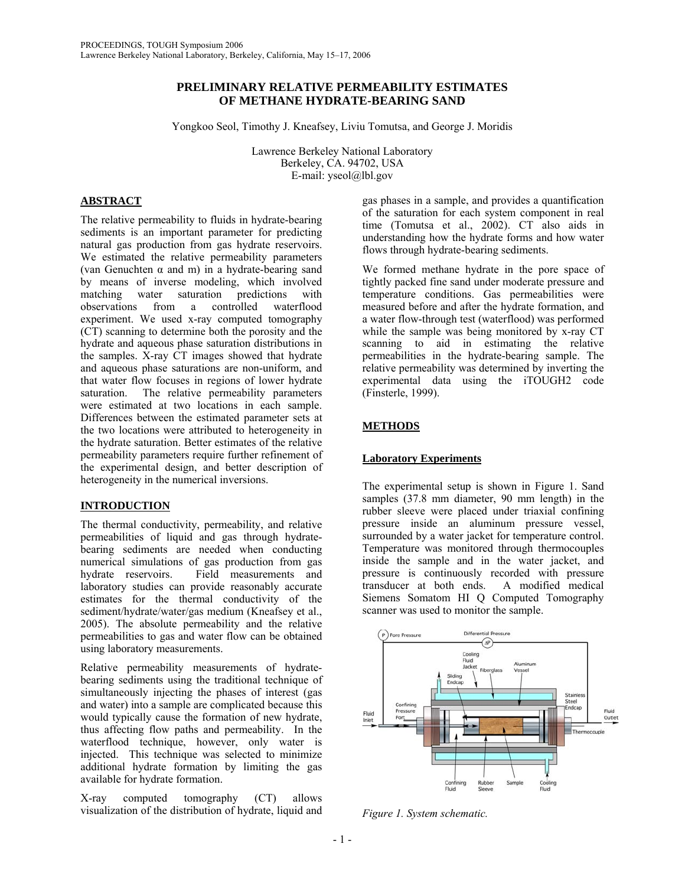# **PRELIMINARY RELATIVE PERMEABILITY ESTIMATES OF METHANE HYDRATE-BEARING SAND**

Yongkoo Seol, Timothy J. Kneafsey, Liviu Tomutsa, and George J. Moridis

Lawrence Berkeley National Laboratory Berkeley, CA. 94702, USA E-mail: yseol@lbl.gov

## **ABSTRACT**

The relative permeability to fluids in hydrate-bearing sediments is an important parameter for predicting natural gas production from gas hydrate reservoirs. We estimated the relative permeability parameters (van Genuchten  $\alpha$  and m) in a hydrate-bearing sand by means of inverse modeling, which involved matching water saturation predictions with observations from a controlled waterflood experiment. We used x-ray computed tomography (CT) scanning to determine both the porosity and the hydrate and aqueous phase saturation distributions in the samples. X-ray CT images showed that hydrate and aqueous phase saturations are non-uniform, and that water flow focuses in regions of lower hydrate saturation. The relative permeability parameters were estimated at two locations in each sample. Differences between the estimated parameter sets at the two locations were attributed to heterogeneity in the hydrate saturation. Better estimates of the relative permeability parameters require further refinement of the experimental design, and better description of heterogeneity in the numerical inversions.

# **INTRODUCTION**

The thermal conductivity, permeability, and relative permeabilities of liquid and gas through hydratebearing sediments are needed when conducting numerical simulations of gas production from gas hydrate reservoirs. Field measurements and laboratory studies can provide reasonably accurate estimates for the thermal conductivity of the sediment/hydrate/water/gas medium (Kneafsey et al., 2005). The absolute permeability and the relative permeabilities to gas and water flow can be obtained using laboratory measurements.

Relative permeability measurements of hydratebearing sediments using the traditional technique of simultaneously injecting the phases of interest (gas and water) into a sample are complicated because this would typically cause the formation of new hydrate, thus affecting flow paths and permeability. In the waterflood technique, however, only water is injected. This technique was selected to minimize additional hydrate formation by limiting the gas available for hydrate formation.

X-ray computed tomography (CT) allows visualization of the distribution of hydrate, liquid and

gas phases in a sample, and provides a quantification of the saturation for each system component in real time (Tomutsa et al., 2002). CT also aids in understanding how the hydrate forms and how water flows through hydrate-bearing sediments.

We formed methane hydrate in the pore space of tightly packed fine sand under moderate pressure and temperature conditions. Gas permeabilities were measured before and after the hydrate formation, and a water flow-through test (waterflood) was performed while the sample was being monitored by x-ray CT scanning to aid in estimating the relative permeabilities in the hydrate-bearing sample. The relative permeability was determined by inverting the experimental data using the iTOUGH2 code (Finsterle, 1999).

# **METHODS**

# **Laboratory Experiments**

The experimental setup is shown in Figure 1. Sand samples (37.8 mm diameter, 90 mm length) in the rubber sleeve were placed under triaxial confining pressure inside an aluminum pressure vessel, surrounded by a water jacket for temperature control. Temperature was monitored through thermocouples inside the sample and in the water jacket, and pressure is continuously recorded with pressure transducer at both ends. A modified medical Siemens Somatom HI Q Computed Tomography scanner was used to monitor the sample.



*Figure 1. System schematic.*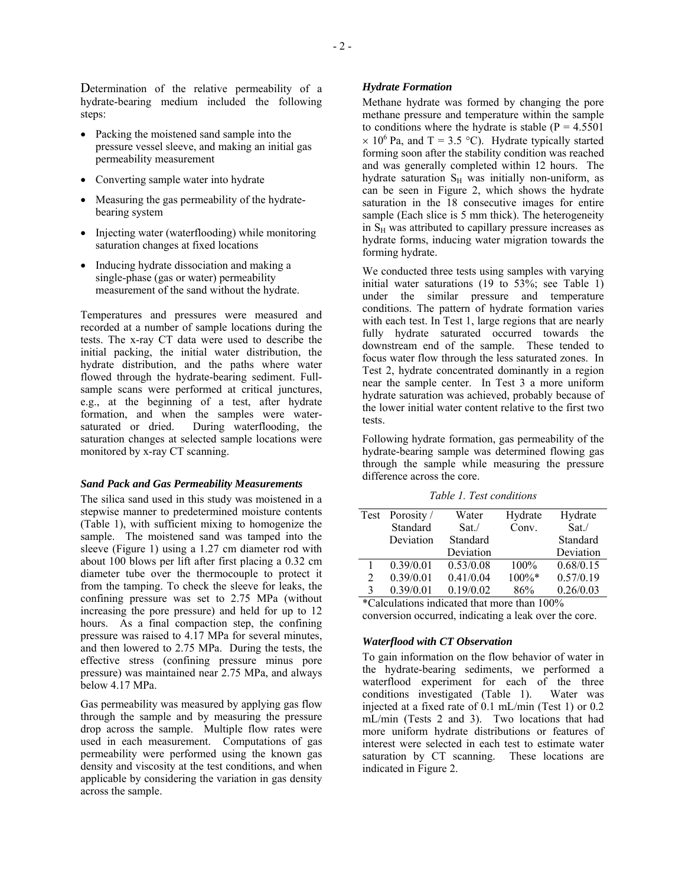Determination of the relative permeability of a hydrate-bearing medium included the following steps:

- Packing the moistened sand sample into the pressure vessel sleeve, and making an initial gas permeability measurement
- Converting sample water into hydrate
- Measuring the gas permeability of the hydratebearing system
- Injecting water (waterflooding) while monitoring saturation changes at fixed locations
- Inducing hydrate dissociation and making a single-phase (gas or water) permeability measurement of the sand without the hydrate.

Temperatures and pressures were measured and recorded at a number of sample locations during the tests. The x-ray CT data were used to describe the initial packing, the initial water distribution, the hydrate distribution, and the paths where water flowed through the hydrate-bearing sediment. Fullsample scans were performed at critical junctures, e.g., at the beginning of a test, after hydrate formation, and when the samples were watersaturated or dried. During waterflooding, the saturation changes at selected sample locations were monitored by x-ray CT scanning.

#### *Sand Pack and Gas Permeability Measurements*

The silica sand used in this study was moistened in a stepwise manner to predetermined moisture contents (Table 1), with sufficient mixing to homogenize the sample. The moistened sand was tamped into the sleeve (Figure 1) using a 1.27 cm diameter rod with about 100 blows per lift after first placing a 0.32 cm diameter tube over the thermocouple to protect it from the tamping. To check the sleeve for leaks, the confining pressure was set to 2.75 MPa (without increasing the pore pressure) and held for up to 12 hours. As a final compaction step, the confining pressure was raised to 4.17 MPa for several minutes, and then lowered to 2.75 MPa. During the tests, the effective stress (confining pressure minus pore pressure) was maintained near 2.75 MPa, and always below 4.17 MPa.

Gas permeability was measured by applying gas flow through the sample and by measuring the pressure drop across the sample. Multiple flow rates were used in each measurement. Computations of gas permeability were performed using the known gas density and viscosity at the test conditions, and when applicable by considering the variation in gas density across the sample.

## *Hydrate Formation*

Methane hydrate was formed by changing the pore methane pressure and temperature within the sample to conditions where the hydrate is stable ( $P = 4.5501$ )  $\times$  10<sup>6</sup> Pa, and T = 3.5 °C). Hydrate typically started forming soon after the stability condition was reached and was generally completed within 12 hours. The hydrate saturation  $S_H$  was initially non-uniform, as can be seen in Figure 2, which shows the hydrate saturation in the 18 consecutive images for entire sample (Each slice is 5 mm thick). The heterogeneity in  $S_H$  was attributed to capillary pressure increases as hydrate forms, inducing water migration towards the forming hydrate.

We conducted three tests using samples with varying initial water saturations (19 to 53%; see Table 1) under the similar pressure and temperature conditions. The pattern of hydrate formation varies with each test. In Test 1, large regions that are nearly fully hydrate saturated occurred towards the downstream end of the sample. These tended to focus water flow through the less saturated zones. In Test 2, hydrate concentrated dominantly in a region near the sample center. In Test 3 a more uniform hydrate saturation was achieved, probably because of the lower initial water content relative to the first two tests.

Following hydrate formation, gas permeability of the hydrate-bearing sample was determined flowing gas through the sample while measuring the pressure difference across the core.

|                                                       | Test Porosity / | Water     | Hydrate | Hydrate   |  |  |
|-------------------------------------------------------|-----------------|-----------|---------|-----------|--|--|
|                                                       | Standard        | Sat.      | Conv.   | Sat.      |  |  |
|                                                       | Deviation       | Standard  |         | Standard  |  |  |
|                                                       |                 | Deviation |         | Deviation |  |  |
|                                                       | 0.39/0.01       | 0.53/0.08 | 100%    | 0.68/0.15 |  |  |
| 2                                                     | 0.39/0.01       | 0.41/0.04 | 100%*   | 0.57/0.19 |  |  |
| 3                                                     | 0.39/0.01       | 0.19/0.02 | 86%     | 0.26/0.03 |  |  |
| $\ast$ Calculations indicated that means then $1000/$ |                 |           |         |           |  |  |

*Table 1. Test conditions* 

\*Calculations indicated that more than 100% conversion occurred, indicating a leak over the core.

### *Waterflood with CT Observation*

To gain information on the flow behavior of water in the hydrate-bearing sediments, we performed a waterflood experiment for each of the three conditions investigated (Table 1). Water was injected at a fixed rate of 0.1 mL/min (Test 1) or 0.2 mL/min (Tests 2 and 3). Two locations that had more uniform hydrate distributions or features of interest were selected in each test to estimate water saturation by CT scanning. These locations are indicated in Figure 2.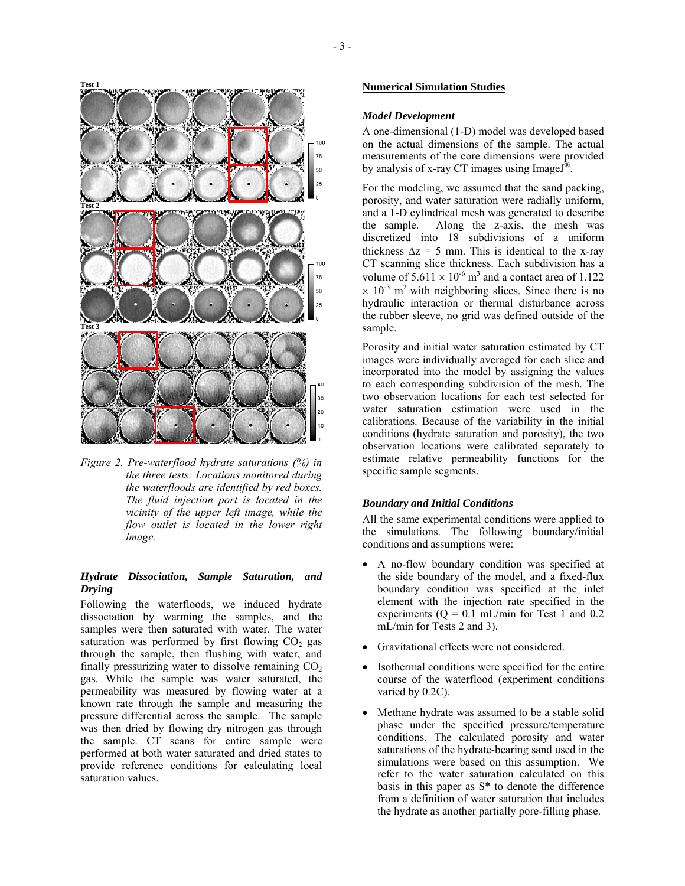

*Figure 2. Pre-waterflood hydrate saturations (%) in the three tests: Locations monitored during the waterfloods are identified by red boxes. The fluid injection port is located in the vicinity of the upper left image, while the flow outlet is located in the lower right image.* 

## *Hydrate Dissociation, Sample Saturation, and Drying*

Following the waterfloods, we induced hydrate dissociation by warming the samples, and the samples were then saturated with water. The water saturation was performed by first flowing  $CO<sub>2</sub>$  gas through the sample, then flushing with water, and finally pressurizing water to dissolve remaining  $CO<sub>2</sub>$ gas. While the sample was water saturated, the permeability was measured by flowing water at a known rate through the sample and measuring the pressure differential across the sample. The sample was then dried by flowing dry nitrogen gas through the sample. CT scans for entire sample were performed at both water saturated and dried states to provide reference conditions for calculating local saturation values.

# **Numerical Simulation Studies**

## *Model Development*

A one-dimensional (1-D) model was developed based on the actual dimensions of the sample. The actual measurements of the core dimensions were provided by analysis of x-ray CT images using ImageJ<sup>®</sup>.

For the modeling, we assumed that the sand packing, porosity, and water saturation were radially uniform, and a 1-D cylindrical mesh was generated to describe the sample. Along the z-axis, the mesh was discretized into 18 subdivisions of a uniform thickness  $\Delta z = 5$  mm. This is identical to the x-ray CT scanning slice thickness. Each subdivision has a volume of  $5.611 \times 10^{-6}$  m<sup>3</sup> and a contact area of 1.122  $\times$  10<sup>-3</sup> m<sup>2</sup> with neighboring slices. Since there is no hydraulic interaction or thermal disturbance across the rubber sleeve, no grid was defined outside of the sample.

Porosity and initial water saturation estimated by CT images were individually averaged for each slice and incorporated into the model by assigning the values to each corresponding subdivision of the mesh. The two observation locations for each test selected for water saturation estimation were used in the calibrations. Because of the variability in the initial conditions (hydrate saturation and porosity), the two observation locations were calibrated separately to estimate relative permeability functions for the specific sample segments.

### *Boundary and Initial Conditions*

All the same experimental conditions were applied to the simulations. The following boundary/initial conditions and assumptions were:

- A no-flow boundary condition was specified at the side boundary of the model, and a fixed-flux boundary condition was specified at the inlet element with the injection rate specified in the experiments ( $Q = 0.1$  mL/min for Test 1 and 0.2 mL/min for Tests 2 and 3).
- Gravitational effects were not considered.
- Isothermal conditions were specified for the entire course of the waterflood (experiment conditions varied by 0.2C).
- Methane hydrate was assumed to be a stable solid phase under the specified pressure/temperature conditions. The calculated porosity and water saturations of the hydrate-bearing sand used in the simulations were based on this assumption. We refer to the water saturation calculated on this basis in this paper as S\* to denote the difference from a definition of water saturation that includes the hydrate as another partially pore-filling phase.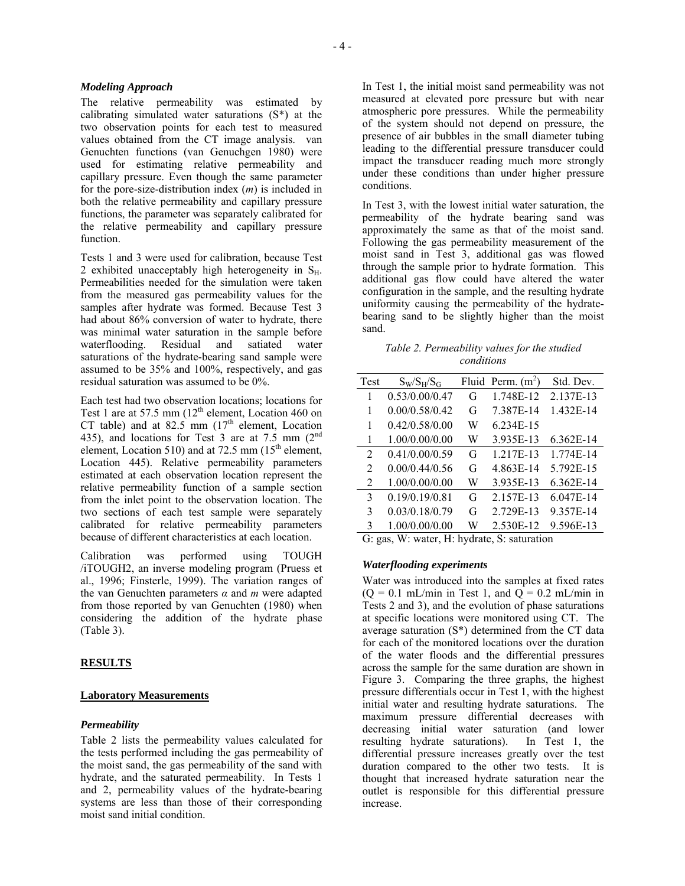### *Modeling Approach*

The relative permeability was estimated by calibrating simulated water saturations (S\*) at the two observation points for each test to measured values obtained from the CT image analysis. van Genuchten functions (van Genuchgen 1980) were used for estimating relative permeability and capillary pressure. Even though the same parameter for the pore-size-distribution index (*m*) is included in both the relative permeability and capillary pressure functions, the parameter was separately calibrated for the relative permeability and capillary pressure function.

Tests 1 and 3 were used for calibration, because Test 2 exhibited unacceptably high heterogeneity in  $S_H$ . Permeabilities needed for the simulation were taken from the measured gas permeability values for the samples after hydrate was formed. Because Test 3 had about 86% conversion of water to hydrate, there was minimal water saturation in the sample before waterflooding. Residual and satiated water saturations of the hydrate-bearing sand sample were assumed to be 35% and 100%, respectively, and gas residual saturation was assumed to be 0%.

Each test had two observation locations; locations for Test 1 are at 57.5 mm  $(12<sup>th</sup>$  element, Location 460 on CT table) and at 82.5 mm  $(17<sup>th</sup>$  element, Location 435), and locations for Test  $3$  are at  $7.5$  mm  $(2^{nd}$ element, Location 510) and at 72.5 mm  $(15<sup>th</sup>$  element, Location 445). Relative permeability parameters estimated at each observation location represent the relative permeability function of a sample section from the inlet point to the observation location. The two sections of each test sample were separately calibrated for relative permeability parameters because of different characteristics at each location.

Calibration was performed using TOUGH /iTOUGH2, an inverse modeling program (Pruess et al., 1996; Finsterle, 1999). The variation ranges of the van Genuchten parameters *α* and *m* were adapted from those reported by van Genuchten (1980) when considering the addition of the hydrate phase (Table 3).

## **RESULTS**

#### **Laboratory Measurements**

#### *Permeability*

Table 2 lists the permeability values calculated for the tests performed including the gas permeability of the moist sand, the gas permeability of the sand with hydrate, and the saturated permeability. In Tests 1 and 2, permeability values of the hydrate-bearing systems are less than those of their corresponding moist sand initial condition.

In Test 1, the initial moist sand permeability was not measured at elevated pore pressure but with near atmospheric pore pressures. While the permeability of the system should not depend on pressure, the presence of air bubbles in the small diameter tubing leading to the differential pressure transducer could impact the transducer reading much more strongly under these conditions than under higher pressure conditions.

In Test 3, with the lowest initial water saturation, the permeability of the hydrate bearing sand was approximately the same as that of the moist sand. Following the gas permeability measurement of the moist sand in Test 3, additional gas was flowed through the sample prior to hydrate formation. This additional gas flow could have altered the water configuration in the sample, and the resulting hydrate uniformity causing the permeability of the hydratebearing sand to be slightly higher than the moist sand.

| Table 2. Permeability values for the studied |
|----------------------------------------------|
| conditions                                   |

| Test                        | $S_W/S_H/S_G$  |   | Fluid Perm. $(m^2)$ | Std. Dev. |
|-----------------------------|----------------|---|---------------------|-----------|
| 1                           | 0.53/0.00/0.47 | G | 1.748E-12           | 2.137E-13 |
| 1                           | 0.00/0.58/0.42 | G | 7.387E-14           | 1.432E-14 |
| 1                           | 0.42/0.58/0.00 | W | 6.234E-15           |           |
| 1                           | 1.00/0.00/0.00 | W | 3.935E-13           | 6.362E-14 |
| $\mathcal{D}_{\mathcal{L}}$ | 0.41/0.00/0.59 | G | 1.217E-13           | 1.774E-14 |
| $\mathcal{L}$               | 0.00/0.44/0.56 | G | 4.863E-14           | 5.792E-15 |
| 2                           | 1.00/0.00/0.00 | W | 3.935E-13           | 6.362E-14 |
| 3                           | 0.19/0.19/0.81 | G | 2.157E-13           | 6.047E-14 |
| 3                           | 0.03/0.18/0.79 | G | 2.729E-13           | 9.357E-14 |
| 3                           | 1.00/0.00/0.00 | W | 2.530E-12           | 9.596E-13 |

G: gas, W: water, H: hydrate, S: saturation

#### *Waterflooding experiments*

Water was introduced into the samples at fixed rates  $(Q = 0.1$  mL/min in Test 1, and  $Q = 0.2$  mL/min in Tests 2 and 3), and the evolution of phase saturations at specific locations were monitored using CT. The average saturation (S\*) determined from the CT data for each of the monitored locations over the duration of the water floods and the differential pressures across the sample for the same duration are shown in Figure 3. Comparing the three graphs, the highest pressure differentials occur in Test 1, with the highest initial water and resulting hydrate saturations. The maximum pressure differential decreases with decreasing initial water saturation (and lower resulting hydrate saturations). In Test 1, the differential pressure increases greatly over the test duration compared to the other two tests. It is thought that increased hydrate saturation near the outlet is responsible for this differential pressure increase.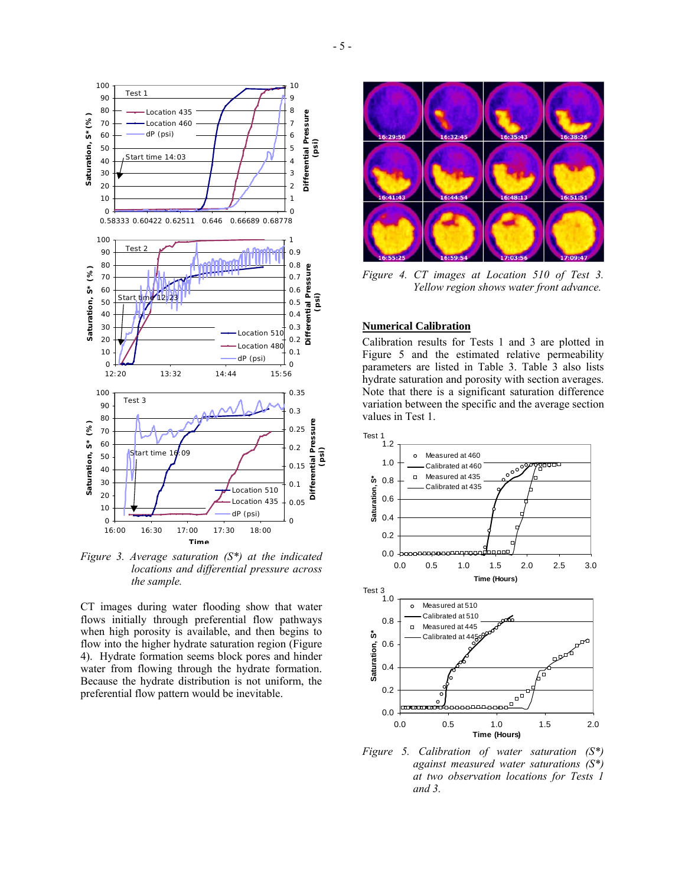

*Figure 3. Average saturation (S\*) at the indicated locations and differential pressure across the sample.* 

CT images during water flooding show that water flows initially through preferential flow pathways when high porosity is available, and then begins to flow into the higher hydrate saturation region (Figure 4). Hydrate formation seems block pores and hinder water from flowing through the hydrate formation. Because the hydrate distribution is not uniform, the preferential flow pattern would be inevitable.



*Figure 4. CT images at Location 510 of Test 3. Yellow region shows water front advance.* 

## **Numerical Calibration**

Calibration results for Tests 1 and 3 are plotted in Figure 5 and the estimated relative permeability parameters are listed in Table 3. Table 3 also lists hydrate saturation and porosity with section averages. Note that there is a significant saturation difference variation between the specific and the average section values in Test 1.



*Figure 5. Calibration of water saturation (S\*) against measured water saturations (S\*) at two observation locations for Tests 1 and 3.*